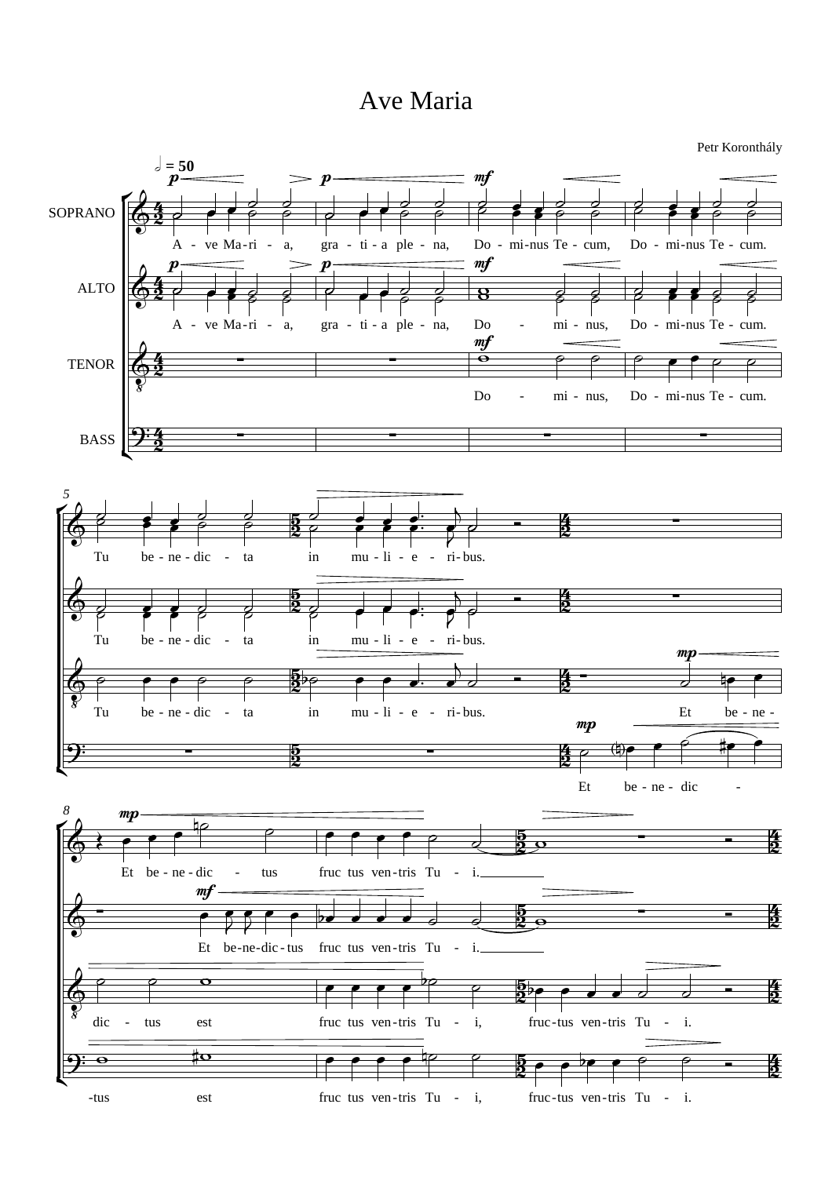## Ave Maria

Petr Koronthály